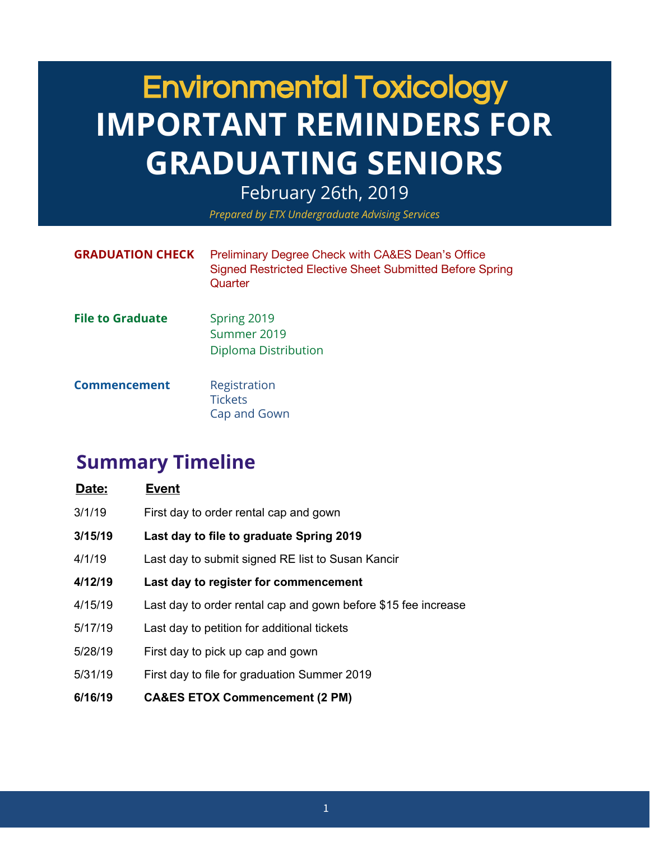### Environmental Toxicology **IMPORTANT REMINDERS FOR GRADUATING SENIORS**

February 26th, 2019

*Prepared by ETX Undergraduate Advising Services*

| <b>GRADUATION CHECK</b> | Preliminary Degree Check with CA&ES Dean's Office<br>Signed Restricted Elective Sheet Submitted Before Spring<br>Quarter |
|-------------------------|--------------------------------------------------------------------------------------------------------------------------|
| <b>File to Graduate</b> | Spring 2019<br>Summer 2019<br>Diploma Distribution                                                                       |
| <b>Commencement</b>     | Registration<br><b>Tickets</b><br>Cap and Gown                                                                           |

### **Summary Timeline**

| Date:   | <b>Event</b>                                                   |
|---------|----------------------------------------------------------------|
| 3/1/19  | First day to order rental cap and gown                         |
| 3/15/19 | Last day to file to graduate Spring 2019                       |
| 4/1/19  | Last day to submit signed RE list to Susan Kancir              |
| 4/12/19 | Last day to register for commencement                          |
| 4/15/19 | Last day to order rental cap and gown before \$15 fee increase |
| 5/17/19 | Last day to petition for additional tickets                    |
| 5/28/19 | First day to pick up cap and gown                              |
| 5/31/19 | First day to file for graduation Summer 2019                   |
| 6/16/19 | <b>CA&amp;ES ETOX Commencement (2 PM)</b>                      |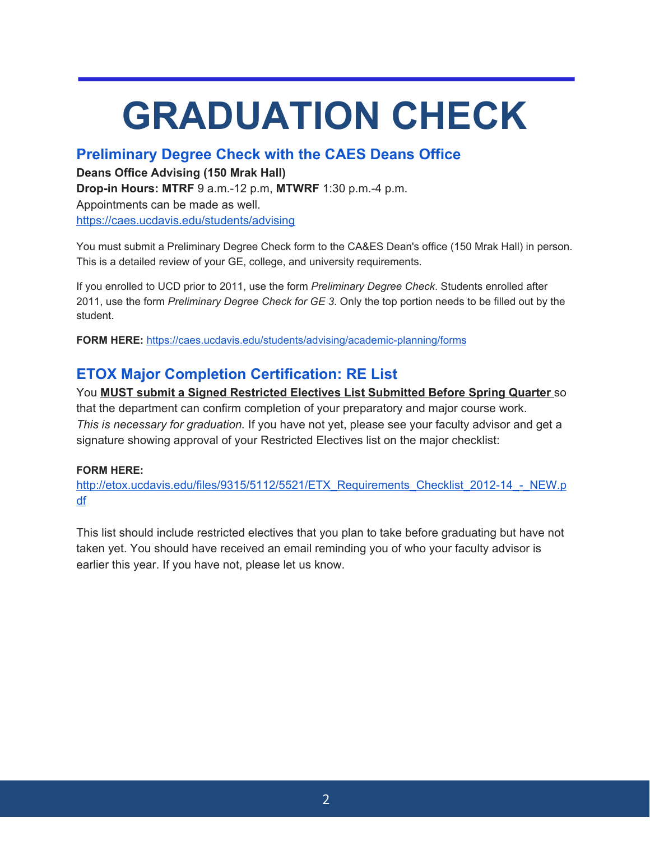# **GRADUATION CHECK**

#### **Preliminary Degree Check with the CAES Deans Office**

**Deans Office Advising (150 Mrak Hall)**

**Drop-in Hours: MTRF** 9 a.m.-12 p.m, **MTWRF** 1:30 p.m.-4 p.m.

Appointments can be made as well.

<https://caes.ucdavis.edu/students/advising>

You must submit a Preliminary Degree Check form to the CA&ES Dean's office (150 Mrak Hall) in person. This is a detailed review of your GE, college, and university requirements.

If you enrolled to UCD prior to 2011, use the form *Preliminary Degree Check*. Students enrolled after 2011, use the form *Preliminary Degree Check for GE 3*. Only the top portion needs to be filled out by the student.

**FORM HERE:** <https://caes.ucdavis.edu/students/advising/academic-planning/forms>

#### **ETOX Major Completion Certification: RE List**

You **MUST submit a Signed Restricted Electives List Submitted Before Spring Quarter** so that the department can confirm completion of your preparatory and major course work. *This is necessary for graduation.* If you have not yet, please see your faculty advisor and get a signature showing approval of your Restricted Electives list on the major checklist:

#### **FORM HERE:**

[http://etox.ucdavis.edu/files/9315/5112/5521/ETX\\_Requirements\\_Checklist\\_2012-14\\_-\\_NEW.p](http://etox.ucdavis.edu/files/9315/5112/5521/ETX_Requirements_Checklist_2012-14_-_NEW.pdf) [df](http://etox.ucdavis.edu/files/9315/5112/5521/ETX_Requirements_Checklist_2012-14_-_NEW.pdf)

This list should include restricted electives that you plan to take before graduating but have not taken yet. You should have received an email reminding you of who your faculty advisor is earlier this year. If you have not, please let us know.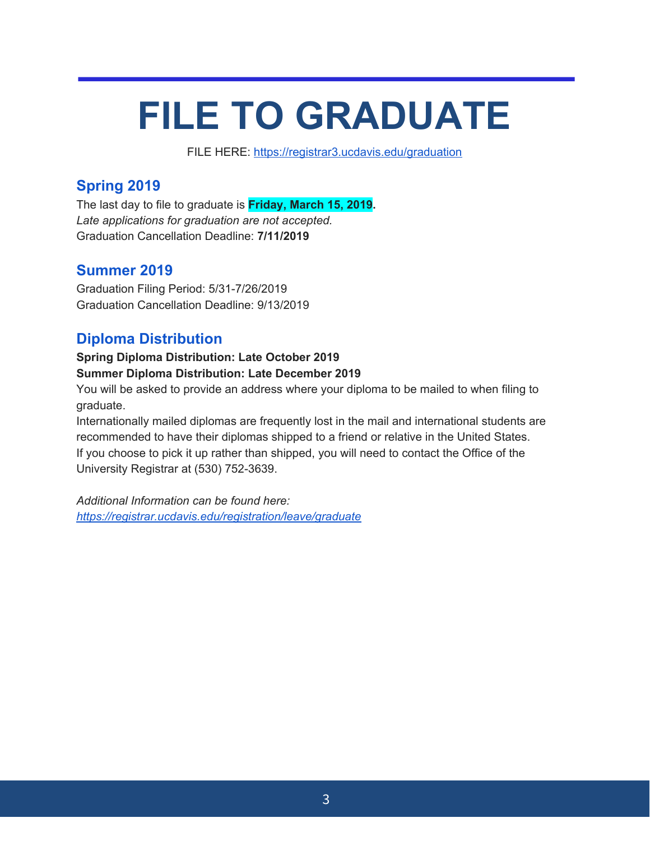## **FILE TO GRADUATE**

FILE HERE: <https://registrar3.ucdavis.edu/graduation>

#### **Spring 2019**

The last day to file to graduate is **Friday, March 15, 2019.** *Late applications for graduation are not accepted.* Graduation Cancellation Deadline: **7/11/2019**

#### **Summer 2019**

Graduation Filing Period: 5/31-7/26/2019 Graduation Cancellation Deadline: 9/13/2019

#### **Diploma Distribution**

#### **Spring Diploma Distribution: Late October 2019 Summer Diploma Distribution: Late December 2019**

You will be asked to provide an address where your diploma to be mailed to when filing to graduate.

Internationally mailed diplomas are frequently lost in the mail and international students are recommended to have their diplomas shipped to a friend or relative in the United States. If you choose to pick it up rather than shipped, you will need to contact the Office of the University Registrar at (530) 752-3639.

*Additional Information can be found here: <https://registrar.ucdavis.edu/registration/leave/graduate>*